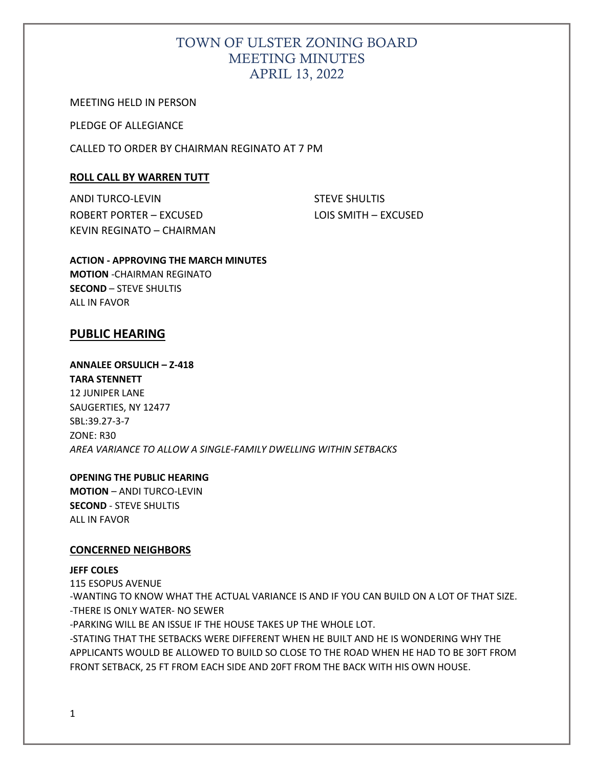# TOWN OF ULSTER ZONING BOARD MEETING MINUTES APRIL 13, 2022

MEETING HELD IN PERSON

PLEDGE OF ALLEGIANCE

CALLED TO ORDER BY CHAIRMAN REGINATO AT 7 PM

## **ROLL CALL BY WARREN TUTT**

ANDI TURCO-LEVIN STEVE SHULTIS ROBERT PORTER – EXCUSED LOIS SMITH – EXCUSED KEVIN REGINATO – CHAIRMAN

**ACTION - APPROVING THE MARCH MINUTES MOTION** -CHAIRMAN REGINATO **SECOND** – STEVE SHULTIS ALL IN FAVOR

## **PUBLIC HEARING**

# **ANNALEE ORSULICH – Z-418**

**TARA STENNETT** 

12 JUNIPER LANE SAUGERTIES, NY 12477 SBL:39.27-3-7 ZONE: R30 *AREA VARIANCE TO ALLOW A SINGLE-FAMILY DWELLING WITHIN SETBACKS*

### **OPENING THE PUBLIC HEARING**

**MOTION** – ANDI TURCO-LEVIN **SECOND** - STEVE SHULTIS ALL IN FAVOR

## **CONCERNED NEIGHBORS**

### **JEFF COLES**

115 ESOPUS AVENUE -WANTING TO KNOW WHAT THE ACTUAL VARIANCE IS AND IF YOU CAN BUILD ON A LOT OF THAT SIZE. -THERE IS ONLY WATER- NO SEWER -PARKING WILL BE AN ISSUE IF THE HOUSE TAKES UP THE WHOLE LOT. -STATING THAT THE SETBACKS WERE DIFFERENT WHEN HE BUILT AND HE IS WONDERING WHY THE APPLICANTS WOULD BE ALLOWED TO BUILD SO CLOSE TO THE ROAD WHEN HE HAD TO BE 30FT FROM FRONT SETBACK, 25 FT FROM EACH SIDE AND 20FT FROM THE BACK WITH HIS OWN HOUSE.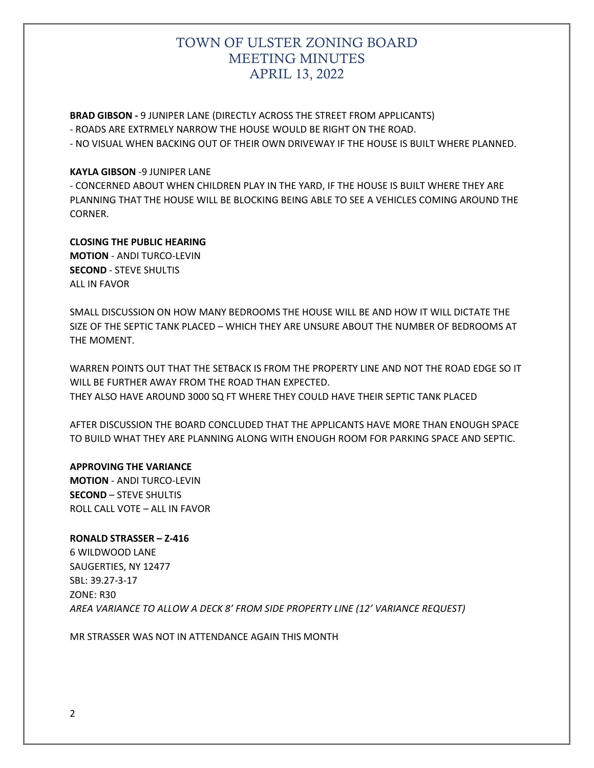# TOWN OF ULSTER ZONING BOARD MEETING MINUTES APRIL 13, 2022

**BRAD GIBSON -** 9 JUNIPER LANE (DIRECTLY ACROSS THE STREET FROM APPLICANTS)

- ROADS ARE EXTRMELY NARROW THE HOUSE WOULD BE RIGHT ON THE ROAD.

- NO VISUAL WHEN BACKING OUT OF THEIR OWN DRIVEWAY IF THE HOUSE IS BUILT WHERE PLANNED.

## **KAYLA GIBSON** -9 JUNIPER LANE

- CONCERNED ABOUT WHEN CHILDREN PLAY IN THE YARD, IF THE HOUSE IS BUILT WHERE THEY ARE PLANNING THAT THE HOUSE WILL BE BLOCKING BEING ABLE TO SEE A VEHICLES COMING AROUND THE CORNER.

## **CLOSING THE PUBLIC HEARING**

**MOTION** - ANDI TURCO-LEVIN **SECOND** - STEVE SHULTIS ALL IN FAVOR

SMALL DISCUSSION ON HOW MANY BEDROOMS THE HOUSE WILL BE AND HOW IT WILL DICTATE THE SIZE OF THE SEPTIC TANK PLACED – WHICH THEY ARE UNSURE ABOUT THE NUMBER OF BEDROOMS AT THE MOMENT.

WARREN POINTS OUT THAT THE SETBACK IS FROM THE PROPERTY LINE AND NOT THE ROAD EDGE SO IT WILL BE FURTHER AWAY FROM THE ROAD THAN EXPECTED. THEY ALSO HAVE AROUND 3000 SQ FT WHERE THEY COULD HAVE THEIR SEPTIC TANK PLACED

AFTER DISCUSSION THE BOARD CONCLUDED THAT THE APPLICANTS HAVE MORE THAN ENOUGH SPACE TO BUILD WHAT THEY ARE PLANNING ALONG WITH ENOUGH ROOM FOR PARKING SPACE AND SEPTIC.

### **APPROVING THE VARIANCE**

**MOTION** - ANDI TURCO-LEVIN **SECOND** – STEVE SHULTIS ROLL CALL VOTE – ALL IN FAVOR

## **RONALD STRASSER – Z-416**

6 WILDWOOD LANE SAUGERTIES, NY 12477 SBL: 39.27-3-17 ZONE: R30 *AREA VARIANCE TO ALLOW A DECK 8' FROM SIDE PROPERTY LINE (12' VARIANCE REQUEST)*

MR STRASSER WAS NOT IN ATTENDANCE AGAIN THIS MONTH